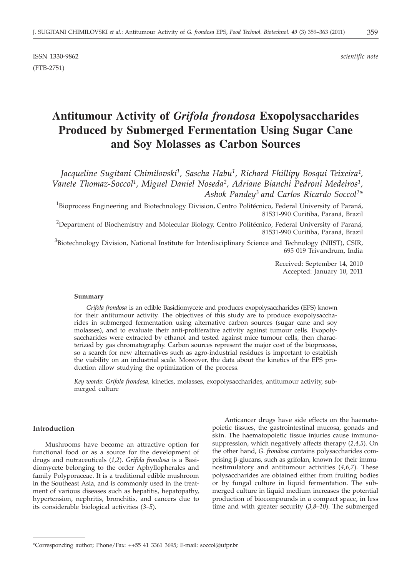ISSN 1330-9862 *scientific note* (FTB-2751)

# **Antitumour Activity of** *Grifola frondosa* **Exopolysaccharides Produced by Submerged Fermentation Using Sugar Cane and Soy Molasses as Carbon Sources**

Jacqueline Sugitani Chimilovski<sup>1</sup>, Sascha Habu<sup>1</sup>, Richard Fhillipy Bosqui Teixeira<sup>1</sup>, *Vanete Thomaz-Soccol1, Miguel Daniel Noseda2, Adriane Bianchi Pedroni Medeiros1, Ashok Pandey3 and Carlos Ricardo Soccol1\**

<sup>1</sup>Bioprocess Engineering and Biotechnology Division, Centro Politécnico, Federal University of Paraná, 81531-990 Curitiba, Paraná, Brazil

 $^{2}$ Department of Biochemistry and Molecular Biology, Centro Politécnico, Federal University of Paraná, 81531-990 Curitiba, Paraná, Brazil

<sup>3</sup>Biotechnology Division, National Institute for Interdisciplinary Science and Technology (NIIST), CSIR, 695 019 Trivandrum, India

> Received: September 14, 2010 Accepted: January 10, 2011

#### **Summary**

*Grifola frondosa* is an edible Basidiomycete and produces exopolysaccharides (EPS) known for their antitumour activity. The objectives of this study are to produce exopolysaccharides in submerged fermentation using alternative carbon sources (sugar cane and soy molasses), and to evaluate their anti-proliferative activity against tumour cells. Exopolysaccharides were extracted by ethanol and tested against mice tumour cells, then characterized by gas chromatography. Carbon sources represent the major cost of the bioprocess, so a search for new alternatives such as agro-industrial residues is important to establish the viability on an industrial scale. Moreover, the data about the kinetics of the EPS production allow studying the optimization of the process.

*Key words*: *Grifola frondosa,* kinetics, molasses, exopolysaccharides, antitumour activity, submerged culture

## **Introduction**

Mushrooms have become an attractive option for functional food or as a source for the development of drugs and nutraceuticals (*1,2*). *Grifola frondosa* is a Basidiomycete belonging to the order Aphyllopherales and family Polyporaceae. It is a traditional edible mushroom in the Southeast Asia, and is commonly used in the treatment of various diseases such as hepatitis, hepatopathy, hypertension, nephritis, bronchitis, and cancers due to its considerable biological activities (*3–5*).

Anticancer drugs have side effects on the haematopoietic tissues, the gastrointestinal mucosa, gonads and skin. The haematopoietic tissue injuries cause immunosuppression, which negatively affects therapy (*2,4,5*). On the other hand, *G. frondosa* contains polysaccharides comprising b-glucans, such as grifolan, known for their immunostimulatory and antitumour activities (*4,6,7*). These polysaccharides are obtained either from fruiting bodies or by fungal culture in liquid fermentation. The submerged culture in liquid medium increases the potential production of biocompounds in a compact space, in less time and with greater security (*3,8–10*). The submerged

<sup>\*</sup>Corresponding author; Phone/Fax: ++55 41 3361 3695; E-mail: soccol@ufpr.br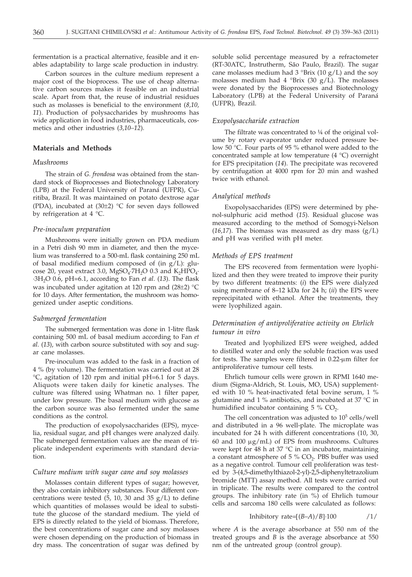fermentation is a practical alternative, feasible and it enables adaptability to large scale production in industry.

Carbon sources in the culture medium represent a major cost of the bioprocess. The use of cheap alternative carbon sources makes it feasible on an industrial scale. Apart from that, the reuse of industrial residues such as molasses is beneficial to the environment (*8,10, 11*). Production of polysaccharides by mushrooms has wide application in food industries, pharmaceuticals, cosmetics and other industries (*3,10–12*).

## **Materials and Methods**

# *Mushrooms*

The strain of *G. frondosa* was obtained from the standard stock of Bioprocesses and Biotechnology Laboratory (LPB) at the Federal University of Paraná (UFPR), Curitiba, Brazil. It was maintained on potato dextrose agar (PDA), incubated at (30±2) °C for seven days followed by refrigeration at 4 °C.

## *Pre-inoculum preparation*

Mushrooms were initially grown on PDA medium in a Petri dish 90 mm in diameter, and then the mycelium was transferred to a 500-mL flask containing 250 mL of basal modified medium composed of (in  $g/L$ ): glucose 20, yeast extract 3.0, MgSO<sub>4</sub>·7H<sub>2</sub>O 0.3 and K<sub>2</sub>HPO<sub>4</sub>· ·3H2O 0.6, pH=6.1, according to Fan *et al*. (*13*). The flask was incubated under agitation at 120 rpm and (28±2) °C for 10 days. After fermentation, the mushroom was homogenized under aseptic conditions.

#### *Submerged fermentation*

The submerged fermentation was done in 1-litre flask containing 500 mL of basal medium according to Fan *et al*. (*13*), with carbon source substituted with soy and sugar cane molasses.

Pre-inoculum was added to the fask in a fraction of 4 % (by volume). The fermentation was carried out at 28 °C, agitation of 120 rpm and initial pH=6.1 for 5 days. Aliquots were taken daily for kinetic analyses. The culture was filtered using Whatman no. 1 filter paper, under low pressure. The basal medium with glucose as the carbon source was also fermented under the same conditions as the control.

The production of exopolysaccharides (EPS), mycelia, residual sugar, and pH changes were analyzed daily. The submerged fermentation values are the mean of triplicate independent experiments with standard deviation.

## *Culture medium with sugar cane and soy molasses*

Molasses contain different types of sugar; however, they also contain inhibitory substances. Four different concentrations were tested  $(5, 10, 30 \text{ and } 35 \text{ g/L})$  to define which quantities of molasses would be ideal to substitute the glucose of the standard medium. The yield of EPS is directly related to the yield of biomass. Therefore, the best concentrations of sugar cane and soy molasses were chosen depending on the production of biomass in dry mass. The concentration of sugar was defined by

soluble solid percentage measured by a refractometer (RT-30ATC, Instrutherm, São Paulo, Brazil). The sugar cane molasses medium had  $3^{\circ}$ Brix (10 g/L) and the soy molasses medium had  $4$  °Brix (30 g/L). The molasses were donated by the Bioprocesses and Biotechnology Laboratory (LPB) at the Federal University of Paraná (UFPR), Brazil.

#### *Exopolysaccharide extraction*

The filtrate was concentrated to ¼ of the original volume by rotary evaporator under reduced pressure below 50 °C. Four parts of 95 % ethanol were added to the concentrated sample at low temperature (4 °C) overnight for EPS precipitation (*14*). The precipitate was recovered by centrifugation at 4000 rpm for 20 min and washed twice with ethanol.

## *Analytical methods*

Exopolysaccharides (EPS) were determined by phenol-sulphuric acid method (*15*). Residual glucose was measured according to the method of Somogyi-Nelson  $(16,17)$ . The biomass was measured as dry mass  $(g/L)$ and pH was verified with pH meter.

## *Methods of EPS treatment*

The EPS recovered from fermentation were lyophilized and then they were treated to improve their purity by two different treatments: (*i*) the EPS were dialyzed using membrane of 8–12 kDa for 24 h; (*ii*) the EPS were reprecipitated with ethanol. After the treatments, they were lyophilized again.

# *Determination of antiproliferative activity on Ehrlich tumour in vitro*

Treated and lyophilized EPS were weighed, added to distilled water and only the soluble fraction was used for tests. The samples were filtered in  $0.22$ - $\mu$ m filter for antiproliferative tumour cell tests.

Ehrlich tumour cells were grown in RPMI 1640 medium (Sigma-Aldrich, St. Louis, MO, USA) supplemented with 10 % heat-inactivated fetal bovine serum, 1 % glutamine and 1 % antibiotics, and incubated at 37 °C in humidified incubator containing  $5\%$  CO<sub>2</sub>.

The cell concentration was adjusted to  $10<sup>5</sup>$  cells/well and distributed in a 96 well-plate. The microplate was incubated for 24 h with different concentrations (10, 30, 60 and 100  $\mu$ g/mL) of EPS from mushrooms. Cultures were kept for 48 h at 37 °C in an incubator, maintaining a constant atmosphere of  $5\%$  CO<sub>2</sub>. PBS buffer was used as a negative control. Tumour cell proliferation was tested by 3-(4,5-dimethylthiazol-2-yl)-2,5-diphenyltetrazolium bromide (MTT) assay method. All tests were carried out in triplicate. The results were compared to the control groups. The inhibitory rate (in %) of Ehrlich tumour cells and sarcoma 180 cells were calculated as follows:

Inhibitory rate=[
$$
(B-A)/B
$$
]<sup>-100</sup> /1/

where *A* is the average absorbance at 550 nm of the treated groups and *B* is the average absorbance at 550 nm of the untreated group (control group).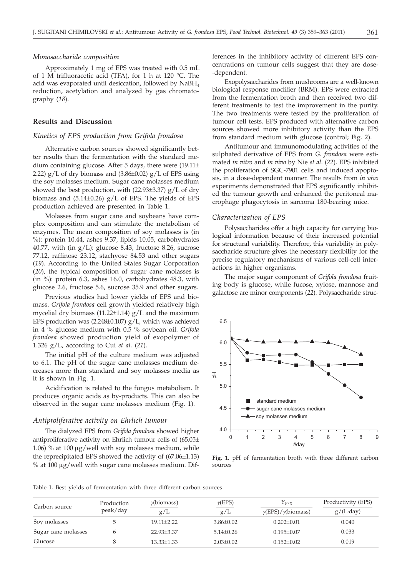#### *Monosaccharide composition*

Approximately 1 mg of EPS was treated with 0.5 mL of 1 M trifluoracetic acid (TFA), for 1 h at 120 °C. The acid was evaporated until desiccation, followed by  $N$ aBH<sub>4</sub> reduction, acetylation and analyzed by gas chromatography (*18*).

# **Results and Discussion**

## *Kinetics of EPS production from Grifola frondosa*

Alternative carbon sources showed significantly better results than the fermentation with the standard medium containing glucose. After 5 days, there were (19.11± 2.22)  $g/L$  of dry biomass and  $(3.86\pm0.02)$   $g/L$  of EPS using the soy molasses medium. Sugar cane molasses medium showed the best production, with  $(22.93\pm3.37)$  g/L of dry biomass and  $(5.14\pm0.26)$  g/L of EPS. The yields of EPS production achieved are presented in Table 1.

Molasses from sugar cane and soybeans have complex composition and can stimulate the metabolism of enzymes. The mean composition of soy molasses is (in %): protein 10.44, ashes 9.37, lipids 10.05, carbohydrates 40.77, with (in  $g/L$ ): glucose 8.43, fructose 8.26, sucrose 77.12, raffinose 23.12, stachyose 84.53 and other sugars (*19*). According to the United States Sugar Corporation (*20*), the typical composition of sugar cane molasses is (in %): protein 6.3, ashes 16.0, carbohydrates 48.3, with glucose 2.6, fructose 5.6, sucrose 35.9 and other sugars.

Previous studies had lower yields of EPS and biomass. *Grifola frondosa* cell growth yielded relatively high mycelial dry biomass (11.22 $\pm$ 1.14) g/L and the maximum EPS production was  $(2.248\pm0.107)$  g/L, which was achieved in 4 % glucose medium with 0.5 % soybean oil. *Grifola frondosa* showed production yield of exopolymer of 1.326 g/L, according to Cui *et al*. (*21*).

The initial pH of the culture medium was adjusted to 6.1. The pH of the sugar cane molasses medium decreases more than standard and soy molasses media as it is shown in Fig. 1.

Acidification is related to the fungus metabolism. It produces organic acids as by-products. This can also be observed in the sugar cane molasses medium (Fig. 1).

## *Antiproliferative activity on Ehrlich tumour*

The dialyzed EPS from *Grifola frondosa* showed higher antiproliferative activity on Ehrlich tumour cells of (65.05± 1.06) % at 100  $\mu$ g/well with soy molasses medium, while the reprecipitated EPS showed the activity of (67.06±1.13) % at  $100 \mu g$ /well with sugar cane molasses medium. Dif-

ferences in the inhibitory activity of different EPS concentrations on tumour cells suggest that they are dose- -dependent.

Exopolysaccharides from mushrooms are a well-known biological response modifier (BRM). EPS were extracted from the fermentation broth and then received two different treatments to test the improvement in the purity. The two treatments were tested by the proliferation of tumour cell tests. EPS produced with alternative carbon sources showed more inhibitory activity than the EPS from standard medium with glucose (control; Fig. 2).

Antitumour and immunomodulating activities of the sulphated derivative of EPS from *G. frondosa* were estimated *in vitro* and *in vivo* by Nie *et al*. (*22*). EPS inhibited the proliferation of SGC-7901 cells and induced apoptosis, in a dose-dependent manner. The results from *in vivo* experiments demonstrated that EPS significantly inhibited the tumour growth and enhanced the peritoneal macrophage phagocytosis in sarcoma 180-bearing mice.

#### *Characterization of EPS*

Polysaccharides offer a high capacity for carrying biological information because of their increased potential for structural variability. Therefore, this variability in polysaccharide structure gives the necessary flexibility for the precise regulatory mechanisms of various cell-cell interactions in higher organisms.

The major sugar component of *Grifola frondosa* fruiting body is glucose, while fucose, xylose, mannose and galactose are minor components (*22*). Polysaccharide struc-



**Fig. 1.** pH of fermentation broth with three different carbon sources

Table 1. Best yields of fermentation with three different carbon sources

| Carbon source       | Production<br>peak/day | $\gamma$ (biomass)<br>g/L | $\gamma$ (EPS)<br>g/L | $Y_{P/X}$<br>$\gamma$ (EPS)/ $\gamma$ (biomass) | Productivity (EPS)<br>$g/(L \cdot day)$ |  |
|---------------------|------------------------|---------------------------|-----------------------|-------------------------------------------------|-----------------------------------------|--|
| Soy molasses        |                        | $19.11 + 2.22$            | $3.86 \pm 0.02$       | $0.202 + 0.01$                                  | 0.040                                   |  |
| Sugar cane molasses |                        | $22.93 \pm 3.37$          | $5.14 + 0.26$         | $0.195 \pm 0.07$                                | 0.033                                   |  |
| Glucose             |                        | $13.33 + 1.33$            | $2.03+0.02$           | $0.152 + 0.02$                                  | 0.019                                   |  |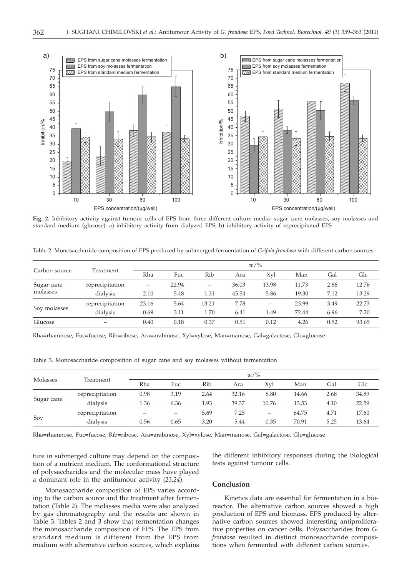

**Fig. 2.** Inhibitory activity against tumour cells of EPS from three different culture media: sugar cane molasses, soy molasses and standard medium (glucose): a) inhibitory activity from dialyzed EPS; b) inhibitory activity of reprecipitated EPS

Table 2. Monosaccharide composition of EPS produced by submerged fermentation of *Grifola frondosa* with different carbon sources

| Carbon source          | Treatment       | $w/\%$ |       |       |       |       |       |      |       |
|------------------------|-----------------|--------|-------|-------|-------|-------|-------|------|-------|
|                        |                 | Rha    | Fuc   | Rib   | Ara   | Xyl   | Man   | Gal  | Glc   |
| Sugar cane<br>molasses | reprecipitation |        | 22.94 | -     | 36.03 | 13.98 | 11.73 | 2.86 | 12.76 |
|                        | dialysis        | 2.10   | 5.48  | 1.31  | 45.54 | 5.86  | 19.30 | 7.12 | 13.29 |
| Soy molasses           | reprecipitation | 23.16  | 5.64  | 13.21 | 7.78  |       | 23.99 | 3.49 | 22.73 |
|                        | dialysis        | 0.69   | 3.11  | 1.70  | 6.41  | 1.49  | 72.44 | 6.96 | 7.20  |
| Glucose                | -               | 0.40   | 0.18  | 0.37  | 0.51  | 0.12  | 4.26  | 0.52 | 93.65 |

Rha=rhamnose, Fuc=fucose, Rib=ribose, Ara=arabinose, Xyl=xylose, Man=manose, Gal=galactose, Glc=glucose

Table 3. Monosaccharide composition of sugar cane and soy molasses without fermentation

| Molasses   | Treatment       | $w/\%$ |      |      |       |       |       |      |       |
|------------|-----------------|--------|------|------|-------|-------|-------|------|-------|
|            |                 | Rha    | Fuc  | Rib  | Ara   | Xvl   | Man   | Gal  | Glc   |
| Sugar cane | reprecipitation | 0.98   | 3.19 | 2.64 | 32.16 | 8.80  | 14.66 | 2.68 | 34.89 |
|            | dialysis        | 1.36   | 6.36 | 1.93 | 39.37 | 10.76 | 13.53 | 4.10 | 22.59 |
| Soy        | reprecipitation |        |      | 5.69 | 7.25  | -     | 64.75 | 4.71 | 17.60 |
|            | dialysis        | 0.56   | 0.65 | 3.20 | 5.44  | 0.35  | 70.91 | 5.25 | 13.64 |

Rha=rhamnose, Fuc=fucose, Rib=ribose, Ara=arabinose, Xyl=xylose, Man=manose, Gal=galactose, Glc=glucose

ture in submerged culture may depend on the composition of a nutrient medium. The conformational structure of polysaccharides and the molecular mass have played a dominant role in the antitumour activity (*23,24*).

Monosaccharide composition of EPS varies according to the carbon source and the treatment after fermentation (Table 2). The molasses media were also analyzed by gas chromatography and the results are shown in Table 3. Tables 2 and 3 show that fermentation changes the monosaccharide composition of EPS. The EPS from standard medium is different from the EPS from medium with alternative carbon sources, which explains the different inhibitory responses during the biological tests against tumour cells.

#### **Conclusion**

Kinetics data are essential for fermentation in a bioreactor. The alternative carbon sources showed a high production of EPS and biomass. EPS produced by alternative carbon sources showed interesting antiproliferative properties on cancer cells. Polysaccharides from *G. frondosa* resulted in distinct monosaccharide compositions when fermented with different carbon sources.